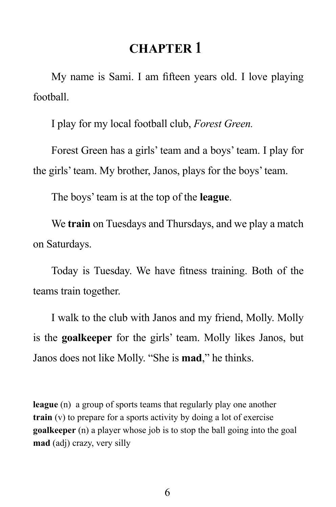## **CHAPTER 1**

My name is Sami. I am fifteen years old. I love playing football.

I play for my local football club, *Forest Green.* 

Forest Green has a girls' team and a boys' team. I play for the girls' team. My brother, Janos, plays for the boys' team.

The boys' team is at the top of the **league**.

We **train** on Tuesdays and Thursdays, and we play a match on Saturdays.

Today is Tuesday. We have fitness training. Both of the teams train together.

I walk to the club with Janos and my friend, Molly. Molly is the **goalkeeper** for the girls' team. Molly likes Janos, but Janos does not like Molly. "She is **mad**," he thinks.

**league** (n) a group of sports teams that regularly play one another **train** (v) to prepare for a sports activity by doing a lot of exercise **goalkeeper** (n) a player whose job is to stop the ball going into the goal **mad** (adj) crazy, very silly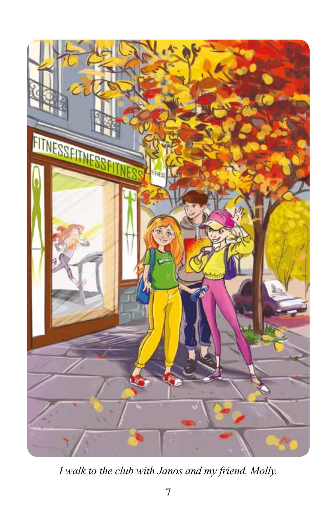

*I walk to the club with Janos and my friend, Molly.*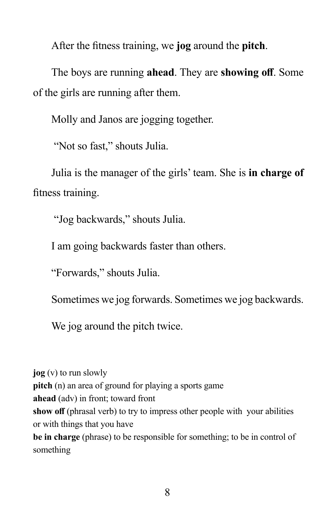After the fitness training, we **jog** around the **pitch**.

The boys are running **ahead**. They are **showing off**. Some of the girls are running after them.

Molly and Janos are jogging together.

"Not so fast," shouts Julia.

Julia is the manager of the girls' team. She is **in charge of** fitness training.

"Jog backwards," shouts Julia.

I am going backwards faster than others.

"Forwards," shouts Julia.

Sometimes we jog forwards. Sometimes we jog backwards.

We jog around the pitch twice.

**jog** (v) to run slowly **pitch** (n) an area of ground for playing a sports game **ahead** (adv) in front; toward front **show off** (phrasal verb) to try to impress other people with your abilities or with things that you have **be in charge** (phrase) to be responsible for something; to be in control of something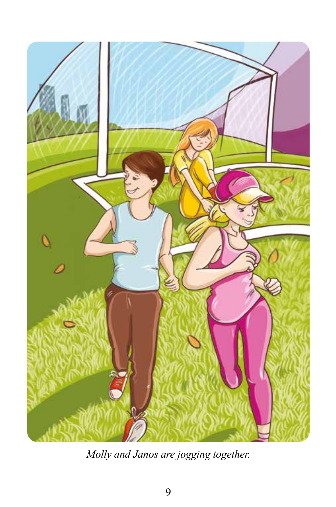

*Molly and Janos are jogging together.*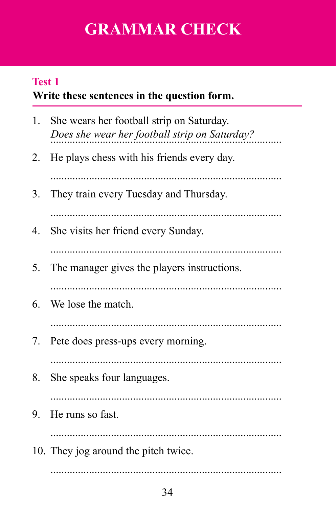# **GRAMMAR CHECK**

## **Write these sentences in the question form. Test 1**

| 1. | She wears her football strip on Saturday.<br>Does she wear her football strip on Saturday? |
|----|--------------------------------------------------------------------------------------------|
| 2. | He plays chess with his friends every day.                                                 |
| 3. | They train every Tuesday and Thursday.                                                     |
| 4. | She visits her friend every Sunday.                                                        |
| 5. | The manager gives the players instructions.                                                |
| 6. | We lose the match.                                                                         |
| 7. | Pete does press-ups every morning.                                                         |
| 8. | She speaks four languages.                                                                 |
| 9. | He runs so fast.                                                                           |
|    | 10. They jog around the pitch twice.                                                       |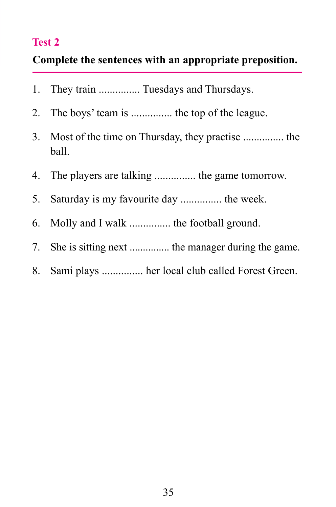#### **Test 2**

#### **Complete the sentences with an appropriate preposition.**

- 1. They train ............... Tuesdays and Thursdays.
- 2. The boys' team is ............... the top of the league.
- 3. Most of the time on Thursday, they practise ............... the ball.
- 4. The players are talking ............... the game tomorrow.
- 5. Saturday is my favourite day ............... the week.
- 6. Molly and I walk ............... the football ground.
- 7. She is sitting next ............... the manager during the game.
- 8. Sami plays ............... her local club called Forest Green.